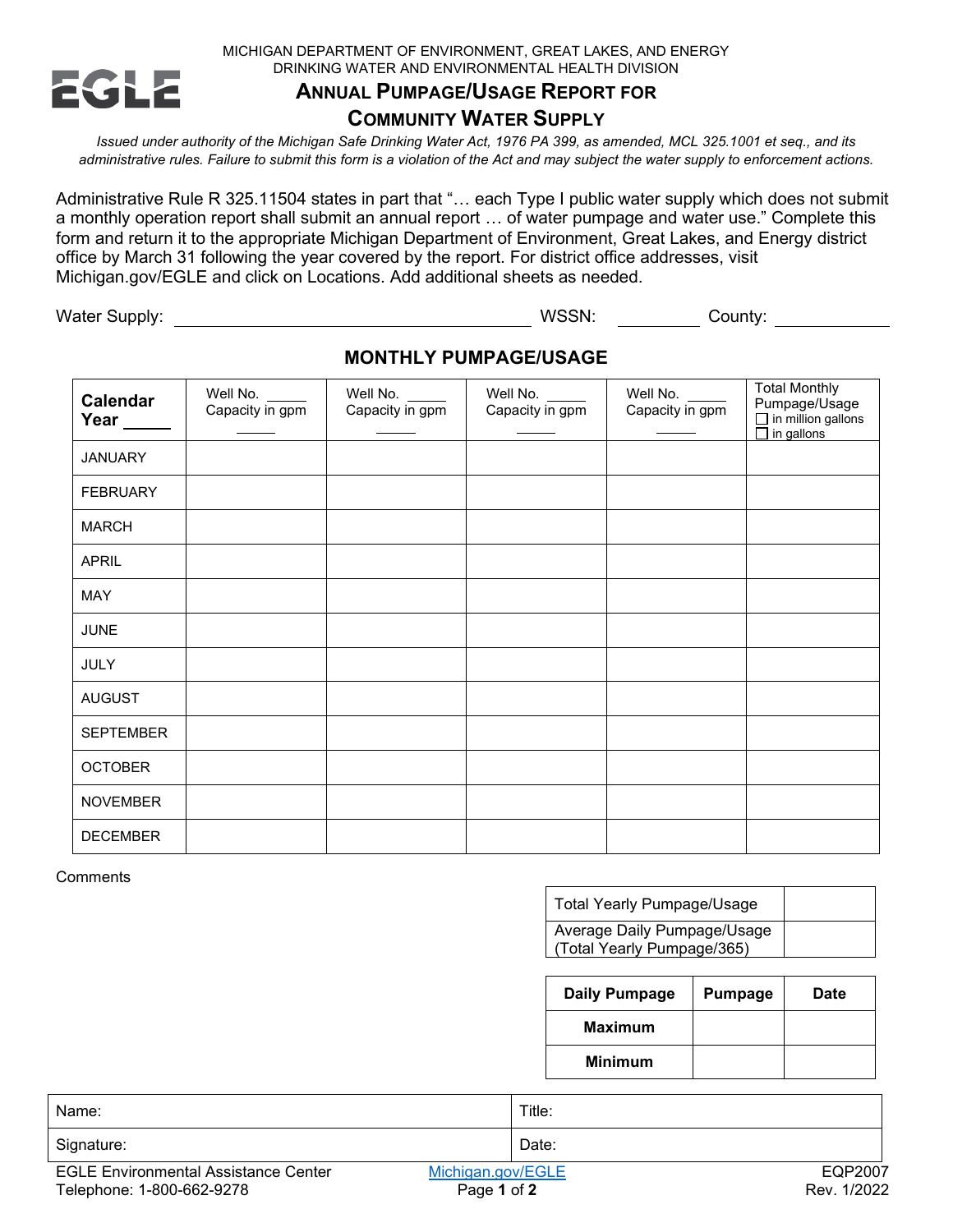MICHIGAN DEPARTMENT OF ENVIRONMENT, GREAT LAKES, AND ENERGY DRINKING WATER AND ENVIRONMENTAL HEALTH DIVISION



## **ANNUAL PUMPAGE/USAGE REPORT FOR**

## **COMMUNITY WATER SUPPLY**

*Issued under authority of the Michigan Safe Drinking Water Act, 1976 PA 399, as amended, MCL 325.1001 et seq., and its administrative rules. Failure to submit this form is a violation of the Act and may subject the water supply to enforcement actions.*

Administrative Rule R 325.11504 states in part that "… each Type I public water supply which does not submit a monthly operation report shall submit an annual report … of water pumpage and water use." Complete this form and return it to the appropriate Michigan Department of Environment, Great Lakes, and Energy district office by March 31 following the year covered by the report. For district office addresses, visit Michigan.gov/EGLE and click on Locations. Add additional sheets as needed.

Water Supply: WSSN: County:

## **MONTHLY PUMPAGE/USAGE**

| <b>Calendar</b><br>Year ____ | Well No.<br>Capacity in gpm | Well No.<br>Capacity in gpm | Well No.<br>Capacity in gpm | Well No.<br>Capacity in gpm | <b>Total Monthly</b><br>Pumpage/Usage<br>$\Box$ in million gallons<br>$\overline{\Box}$ in gallons |
|------------------------------|-----------------------------|-----------------------------|-----------------------------|-----------------------------|----------------------------------------------------------------------------------------------------|
| <b>JANUARY</b>               |                             |                             |                             |                             |                                                                                                    |
| <b>FEBRUARY</b>              |                             |                             |                             |                             |                                                                                                    |
| <b>MARCH</b>                 |                             |                             |                             |                             |                                                                                                    |
| <b>APRIL</b>                 |                             |                             |                             |                             |                                                                                                    |
| MAY                          |                             |                             |                             |                             |                                                                                                    |
| <b>JUNE</b>                  |                             |                             |                             |                             |                                                                                                    |
| <b>JULY</b>                  |                             |                             |                             |                             |                                                                                                    |
| <b>AUGUST</b>                |                             |                             |                             |                             |                                                                                                    |
| <b>SEPTEMBER</b>             |                             |                             |                             |                             |                                                                                                    |
| <b>OCTOBER</b>               |                             |                             |                             |                             |                                                                                                    |
| <b>NOVEMBER</b>              |                             |                             |                             |                             |                                                                                                    |
| <b>DECEMBER</b>              |                             |                             |                             |                             |                                                                                                    |

**Comments** 

| ∣ Total Yearly Pumpage/Usage                              |  |
|-----------------------------------------------------------|--|
| Average Daily Pumpage/Usage<br>(Total Yearly Pumpage/365) |  |

| Daily Pumpage  | <b>Pumpage</b> | <b>Date</b> |
|----------------|----------------|-------------|
| <b>Maximum</b> |                |             |
| <b>Minimum</b> |                |             |

| Name:                                       | Title:            |             |
|---------------------------------------------|-------------------|-------------|
| Signature:                                  | Date:             |             |
| <b>EGLE Environmental Assistance Center</b> | Michigan.gov/EGLE | EQP2007     |
| Telephone: 1-800-662-9278                   | Page 1 of 2       | Rev. 1/2022 |